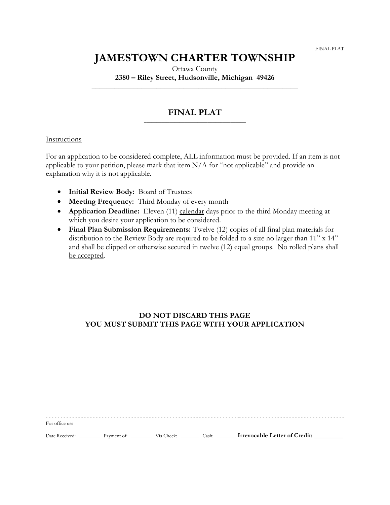# **JAMESTOWN CHARTER TOWNSHIP**

Ottawa County **2380 – Riley Street, Hudsonville, Michigan 49426**

**\_\_\_\_\_\_\_\_\_\_\_\_\_\_\_\_\_\_\_\_\_\_\_\_\_\_\_\_\_\_\_\_\_\_\_\_\_\_\_\_\_\_\_\_\_\_\_\_\_\_\_\_\_\_**

## **FINAL PLAT** \_\_\_\_\_\_\_\_\_\_\_\_\_\_\_\_\_\_\_\_\_\_\_\_\_\_\_\_\_\_\_\_\_\_\_\_\_\_\_\_

### Instructions

For an application to be considered complete, ALL information must be provided. If an item is not applicable to your petition, please mark that item  $N/A$  for "not applicable" and provide an explanation why it is not applicable.

- **Initial Review Body:** Board of Trustees
- **Meeting Frequency:** Third Monday of every month
- **Application Deadline:** Eleven (11) calendar days prior to the third Monday meeting at which you desire your application to be considered.
- **Final Plan Submission Requirements:** Twelve (12) copies of all final plan materials for distribution to the Review Body are required to be folded to a size no larger than 11" x 14" and shall be clipped or otherwise secured in twelve (12) equal groups. No rolled plans shall be accepted.

# **DO NOT DISCARD THIS PAGE YOU MUST SUBMIT THIS PAGE WITH YOUR APPLICATION**

For office use Date Received: \_\_\_\_\_\_\_\_ Payment of: \_\_\_\_\_\_\_\_ Via Check: \_\_\_\_\_\_\_ Cash: \_\_\_\_\_\_\_ **Irrevocable Letter of Credit: \_\_\_\_\_\_\_\_\_**

- - - - - - - - - - - - - - - - - - - - - - - - - - - - - - - - - - - - - - - - - - - - - - - - - - - - - - - - - - - - - - - - - -- - - - - - - - - - - - - - - - - - - - - - - - - - - - - - - - - - - -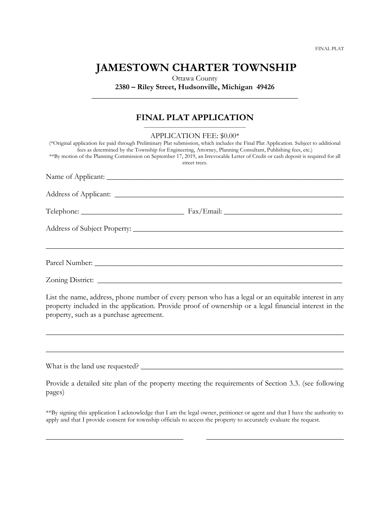FINAL PLAT

# **JAMESTOWN CHARTER TOWNSHIP**

Ottawa County **2380 – Riley Street, Hudsonville, Michigan 49426 \_\_\_\_\_\_\_\_\_\_\_\_\_\_\_\_\_\_\_\_\_\_\_\_\_\_\_\_\_\_\_\_\_\_\_\_\_\_\_\_\_\_\_\_\_\_\_\_\_\_\_\_\_\_**

## **FINAL PLAT APPLICATION** \_\_\_\_\_\_\_\_\_\_\_\_\_\_\_\_\_\_\_\_\_\_\_\_\_\_\_\_\_\_\_\_\_\_\_\_\_\_\_\_

| APPLICATION FEE: \$0.00*                                                                                                                                                                                                                           |
|----------------------------------------------------------------------------------------------------------------------------------------------------------------------------------------------------------------------------------------------------|
| (*Original application fee paid through Preliminary Plat submission, which includes the Final Plat Application. Subject to additional<br>fees as determined by the Township for Engineering, Attorney, Planning Consultant, Publishing fees, etc.) |
| **By motion of the Planning Commission on September 17, 2019, an Irrevocable Letter of Credit or cash deposit is required for all<br>street trees.                                                                                                 |
|                                                                                                                                                                                                                                                    |
|                                                                                                                                                                                                                                                    |
|                                                                                                                                                                                                                                                    |
|                                                                                                                                                                                                                                                    |
|                                                                                                                                                                                                                                                    |
|                                                                                                                                                                                                                                                    |
|                                                                                                                                                                                                                                                    |
| $\tau$ , and the state of the state of the state of the state of the state of the state of the state of the state of the state of the state of the state of the state of the state of the state of the state of the state of th                    |

List the name, address, phone number of every person who has a legal or an equitable interest in any property included in the application. Provide proof of ownership or a legal financial interest in the property, such as a purchase agreement.

\_\_\_\_\_\_\_\_\_\_\_\_\_\_\_\_\_\_\_\_\_\_\_\_\_\_\_\_\_\_\_\_\_\_\_\_\_\_\_\_\_\_\_\_\_\_\_\_\_\_\_\_\_\_\_\_\_\_\_\_\_\_\_\_\_\_\_\_\_\_\_\_\_\_\_\_\_\_

\_\_\_\_\_\_\_\_\_\_\_\_\_\_\_\_\_\_\_\_\_\_\_\_\_\_\_\_\_\_\_\_\_\_\_\_\_\_\_\_\_\_\_\_\_\_\_\_\_\_\_\_\_\_\_\_\_\_\_\_\_\_\_\_\_\_\_\_\_\_\_\_\_\_\_\_\_\_

What is the land use requested? \_\_\_\_\_\_\_\_\_\_\_\_\_\_\_\_\_\_\_\_\_\_\_\_\_\_\_\_\_\_\_\_\_\_\_\_\_\_\_\_\_\_\_\_\_\_\_\_\_\_\_\_\_

Provide a detailed site plan of the property meeting the requirements of Section 3.3. (see following pages)

\*\*By signing this application I acknowledge that I am the legal owner, petitioner or agent and that I have the authority to apply and that I provide consent for township officials to access the property to accurately evaluate the request.

\_\_\_\_\_\_\_\_\_\_\_\_\_\_\_\_\_\_\_\_\_\_\_\_\_\_\_\_\_\_\_\_\_\_\_\_ \_\_\_\_\_\_\_\_\_\_\_\_\_\_\_\_\_\_\_\_\_\_\_\_\_\_\_\_\_\_\_\_\_\_\_\_